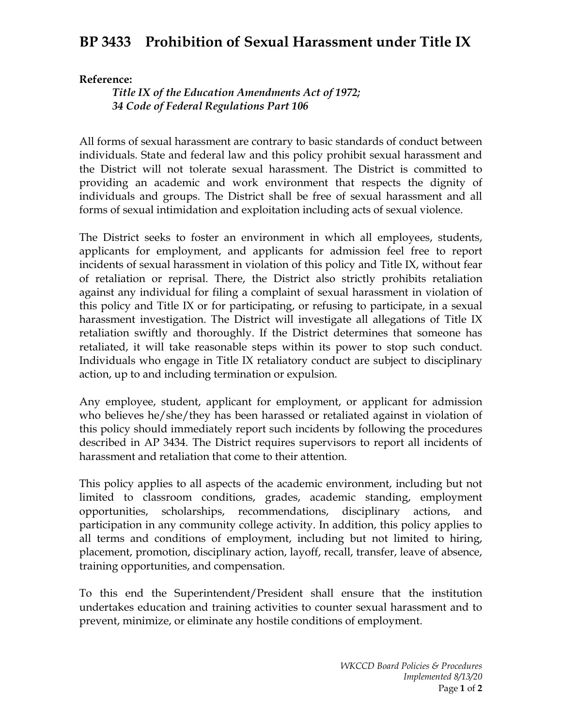## **BP 3433 Prohibition of Sexual Harassment under Title IX**

## **Reference:**

*Title IX of the Education Amendments Act of 1972; 34 Code of Federal Regulations Part 106*

All forms of sexual harassment are contrary to basic standards of conduct between individuals. State and federal law and this policy prohibit sexual harassment and the District will not tolerate sexual harassment. The District is committed to providing an academic and work environment that respects the dignity of individuals and groups. The District shall be free of sexual harassment and all forms of sexual intimidation and exploitation including acts of sexual violence.

The District seeks to foster an environment in which all employees, students, applicants for employment, and applicants for admission feel free to report incidents of sexual harassment in violation of this policy and Title IX, without fear of retaliation or reprisal. There, the District also strictly prohibits retaliation against any individual for filing a complaint of sexual harassment in violation of this policy and Title IX or for participating, or refusing to participate, in a sexual harassment investigation. The District will investigate all allegations of Title IX retaliation swiftly and thoroughly. If the District determines that someone has retaliated, it will take reasonable steps within its power to stop such conduct. Individuals who engage in Title IX retaliatory conduct are subject to disciplinary action, up to and including termination or expulsion.

Any employee, student, applicant for employment, or applicant for admission who believes he/she/they has been harassed or retaliated against in violation of this policy should immediately report such incidents by following the procedures described in AP 3434. The District requires supervisors to report all incidents of harassment and retaliation that come to their attention.

This policy applies to all aspects of the academic environment, including but not limited to classroom conditions, grades, academic standing, employment opportunities, scholarships, recommendations, disciplinary actions, and participation in any community college activity. In addition, this policy applies to all terms and conditions of employment, including but not limited to hiring, placement, promotion, disciplinary action, layoff, recall, transfer, leave of absence, training opportunities, and compensation.

To this end the Superintendent/President shall ensure that the institution undertakes education and training activities to counter sexual harassment and to prevent, minimize, or eliminate any hostile conditions of employment.